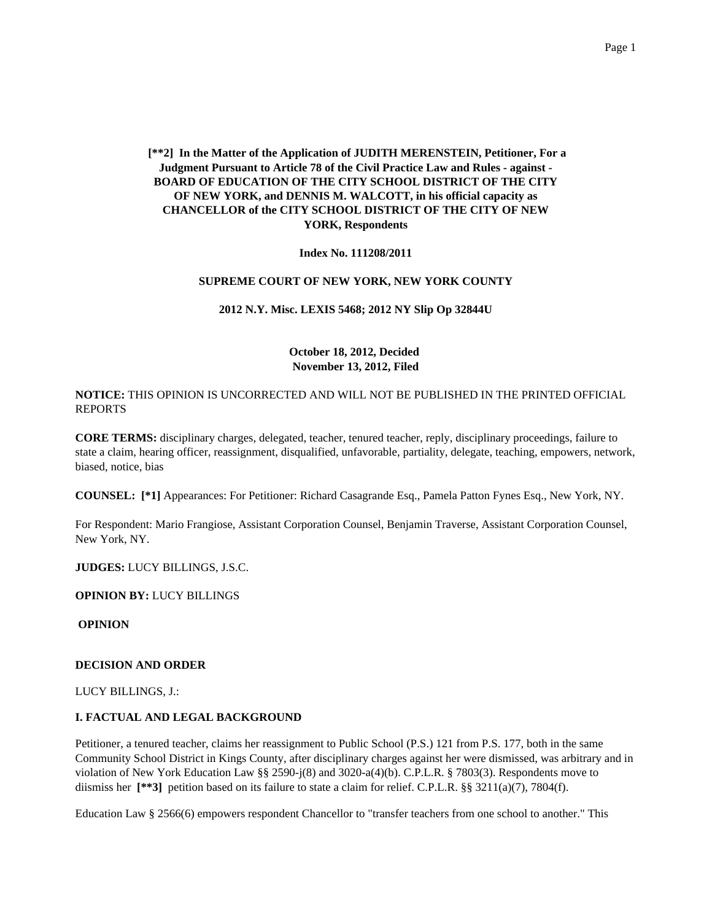**[\*\*2] In the Matter of the Application of JUDITH MERENSTEIN, Petitioner, For a Judgment Pursuant to Article 78 of the Civil Practice Law and Rules - against - BOARD OF EDUCATION OF THE CITY SCHOOL DISTRICT OF THE CITY OF NEW YORK, and DENNIS M. WALCOTT, in his official capacity as CHANCELLOR of the CITY SCHOOL DISTRICT OF THE CITY OF NEW YORK, Respondents**

**Index No. 111208/2011**

#### **SUPREME COURT OF NEW YORK, NEW YORK COUNTY**

**2012 N.Y. Misc. LEXIS 5468; 2012 NY Slip Op 32844U**

## **October 18, 2012, Decided November 13, 2012, Filed**

**NOTICE:** THIS OPINION IS UNCORRECTED AND WILL NOT BE PUBLISHED IN THE PRINTED OFFICIAL REPORTS

**CORE TERMS:** disciplinary charges, delegated, teacher, tenured teacher, reply, disciplinary proceedings, failure to state a claim, hearing officer, reassignment, disqualified, unfavorable, partiality, delegate, teaching, empowers, network, biased, notice, bias

**COUNSEL: [\*1]** Appearances: For Petitioner: Richard Casagrande Esq., Pamela Patton Fynes Esq., New York, NY.

For Respondent: Mario Frangiose, Assistant Corporation Counsel, Benjamin Traverse, Assistant Corporation Counsel, New York, NY.

**JUDGES:** LUCY BILLINGS, J.S.C.

**OPINION BY:** LUCY BILLINGS

**OPINION**

#### **DECISION AND ORDER**

LUCY BILLINGS, J.:

### **I. FACTUAL AND LEGAL BACKGROUND**

Petitioner, a tenured teacher, claims her reassignment to Public School (P.S.) 121 from P.S. 177, both in the same Community School District in Kings County, after disciplinary charges against her were dismissed, was arbitrary and in violation of New York Education Law §§ 2590-j(8) and 3020-a(4)(b). C.P.L.R. § 7803(3). Respondents move to diismiss her [\*\*3] petition based on its failure to state a claim for relief. C.P.L.R. §§ 3211(a)(7), 7804(f).

Education Law § 2566(6) empowers respondent Chancellor to "transfer teachers from one school to another." This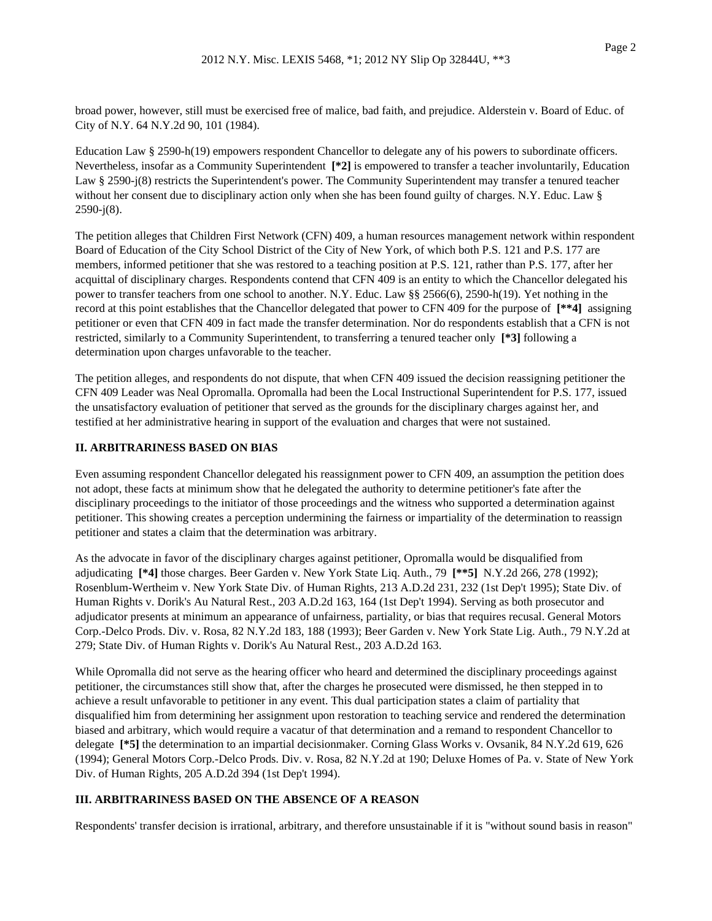broad power, however, still must be exercised free of malice, bad faith, and prejudice. Alderstein v. Board of Educ. of City of N.Y. 64 N.Y.2d 90, 101 (1984).

Education Law § 2590-h(19) empowers respondent Chancellor to delegate any of his powers to subordinate officers. Nevertheless, insofar as a Community Superintendent **[\*2]** is empowered to transfer a teacher involuntarily, Education Law § 2590-j(8) restricts the Superintendent's power. The Community Superintendent may transfer a tenured teacher without her consent due to disciplinary action only when she has been found guilty of charges. N.Y. Educ. Law § 2590-j(8).

The petition alleges that Children First Network (CFN) 409, a human resources management network within respondent Board of Education of the City School District of the City of New York, of which both P.S. 121 and P.S. 177 are members, informed petitioner that she was restored to a teaching position at P.S. 121, rather than P.S. 177, after her acquittal of disciplinary charges. Respondents contend that CFN 409 is an entity to which the Chancellor delegated his power to transfer teachers from one school to another. N.Y. Educ. Law §§ 2566(6), 2590-h(19). Yet nothing in the record at this point establishes that the Chancellor delegated that power to CFN 409 for the purpose of **[\*\*4]** assigning petitioner or even that CFN 409 in fact made the transfer determination. Nor do respondents establish that a CFN is not restricted, similarly to a Community Superintendent, to transferring a tenured teacher only **[\*3]** following a determination upon charges unfavorable to the teacher.

The petition alleges, and respondents do not dispute, that when CFN 409 issued the decision reassigning petitioner the CFN 409 Leader was Neal Opromalla. Opromalla had been the Local Instructional Superintendent for P.S. 177, issued the unsatisfactory evaluation of petitioner that served as the grounds for the disciplinary charges against her, and testified at her administrative hearing in support of the evaluation and charges that were not sustained.

## **II. ARBITRARINESS BASED ON BIAS**

Even assuming respondent Chancellor delegated his reassignment power to CFN 409, an assumption the petition does not adopt, these facts at minimum show that he delegated the authority to determine petitioner's fate after the disciplinary proceedings to the initiator of those proceedings and the witness who supported a determination against petitioner. This showing creates a perception undermining the fairness or impartiality of the determination to reassign petitioner and states a claim that the determination was arbitrary.

As the advocate in favor of the disciplinary charges against petitioner, Opromalla would be disqualified from adjudicating **[\*4]** those charges. Beer Garden v. New York State Liq. Auth., 79 **[\*\*5]** N.Y.2d 266, 278 (1992); Rosenblum-Wertheim v. New York State Div. of Human Rights, 213 A.D.2d 231, 232 (1st Dep't 1995); State Div. of Human Rights v. Dorik's Au Natural Rest., 203 A.D.2d 163, 164 (1st Dep't 1994). Serving as both prosecutor and adjudicator presents at minimum an appearance of unfairness, partiality, or bias that requires recusal. General Motors Corp.-Delco Prods. Div. v. Rosa, 82 N.Y.2d 183, 188 (1993); Beer Garden v. New York State Lig. Auth., 79 N.Y.2d at 279; State Div. of Human Rights v. Dorik's Au Natural Rest., 203 A.D.2d 163.

While Opromalla did not serve as the hearing officer who heard and determined the disciplinary proceedings against petitioner, the circumstances still show that, after the charges he prosecuted were dismissed, he then stepped in to achieve a result unfavorable to petitioner in any event. This dual participation states a claim of partiality that disqualified him from determining her assignment upon restoration to teaching service and rendered the determination biased and arbitrary, which would require a vacatur of that determination and a remand to respondent Chancellor to delegate **[\*5]** the determination to an impartial decisionmaker. Corning Glass Works v. Ovsanik, 84 N.Y.2d 619, 626 (1994); General Motors Corp.-Delco Prods. Div. v. Rosa, 82 N.Y.2d at 190; Deluxe Homes of Pa. v. State of New York Div. of Human Rights, 205 A.D.2d 394 (1st Dep't 1994).

# **III. ARBITRARINESS BASED ON THE ABSENCE OF A REASON**

Respondents' transfer decision is irrational, arbitrary, and therefore unsustainable if it is "without sound basis in reason"